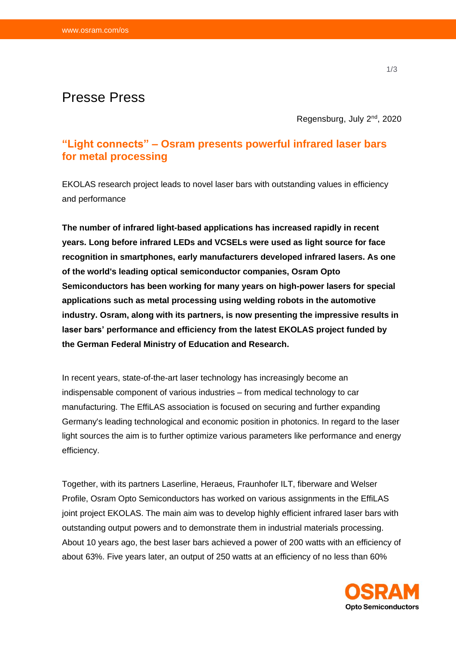# Presse Press

Regensburg, July 2<sup>nd</sup>, 2020

## **"Light connects" – Osram presents powerful infrared laser bars for metal processing**

EKOLAS research project leads to novel laser bars with outstanding values in efficiency and performance

**The number of infrared light-based applications has increased rapidly in recent years. Long before infrared LEDs and VCSELs were used as light source for face recognition in smartphones, early manufacturers developed infrared lasers. As one of the world's leading optical semiconductor companies, Osram Opto Semiconductors has been working for many years on high-power lasers for special applications such as metal processing using welding robots in the automotive industry. Osram, along with its partners, is now presenting the impressive results in laser bars' performance and efficiency from the latest EKOLAS project funded by the German Federal Ministry of Education and Research.**

In recent years, state-of-the-art laser technology has increasingly become an indispensable component of various industries – from medical technology to car manufacturing. The EffiLAS association is focused on securing and further expanding Germany's leading technological and economic position in photonics. In regard to the laser light sources the aim is to further optimize various parameters like performance and energy efficiency.

Together, with its partners Laserline, Heraeus, Fraunhofer ILT, fiberware and Welser Profile, Osram Opto Semiconductors has worked on various assignments in the EffiLAS joint project EKOLAS. The main aim was to develop highly efficient infrared laser bars with outstanding output powers and to demonstrate them in industrial materials processing. About 10 years ago, the best laser bars achieved a power of 200 watts with an efficiency of about 63%. Five years later, an output of 250 watts at an efficiency of no less than 60%

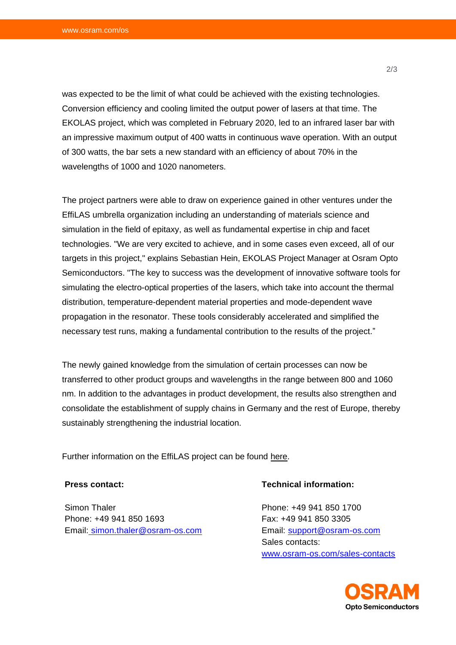was expected to be the limit of what could be achieved with the existing technologies. Conversion efficiency and cooling limited the output power of lasers at that time. The EKOLAS project, which was completed in February 2020, led to an infrared laser bar with an impressive maximum output of 400 watts in continuous wave operation. With an output of 300 watts, the bar sets a new standard with an efficiency of about 70% in the wavelengths of 1000 and 1020 nanometers.

The project partners were able to draw on experience gained in other ventures under the EffiLAS umbrella organization including an understanding of materials science and simulation in the field of epitaxy, as well as fundamental expertise in chip and facet technologies. "We are very excited to achieve, and in some cases even exceed, all of our targets in this project," explains Sebastian Hein, EKOLAS Project Manager at Osram Opto Semiconductors. "The key to success was the development of innovative software tools for simulating the electro-optical properties of the lasers, which take into account the thermal distribution, temperature-dependent material properties and mode-dependent wave propagation in the resonator. These tools considerably accelerated and simplified the necessary test runs, making a fundamental contribution to the results of the project."

The newly gained knowledge from the simulation of certain processes can now be transferred to other product groups and wavelengths in the range between 800 and 1060 nm. In addition to the advantages in product development, the results also strengthen and consolidate the establishment of supply chains in Germany and the rest of Europe, thereby sustainably strengthening the industrial location.

Further information on the EffiLAS project can be found [here.](https://www.effilas.de/en.html)

### **Press contact:**

Simon Thaler Phone: +49 941 850 1693 Email: [simon.thaler@osram-os.com](mailto:simon.thaler@osram-os.com)

### **Technical information:**

Phone: +49 941 850 1700 Fax: +49 941 850 3305 Email: [support@osram-os.com](mailto:support@osram-os.com) Sales contacts: [www.osram-os.com/sales-contacts](http://www.osram-os.com/sales-contacts)



2/3